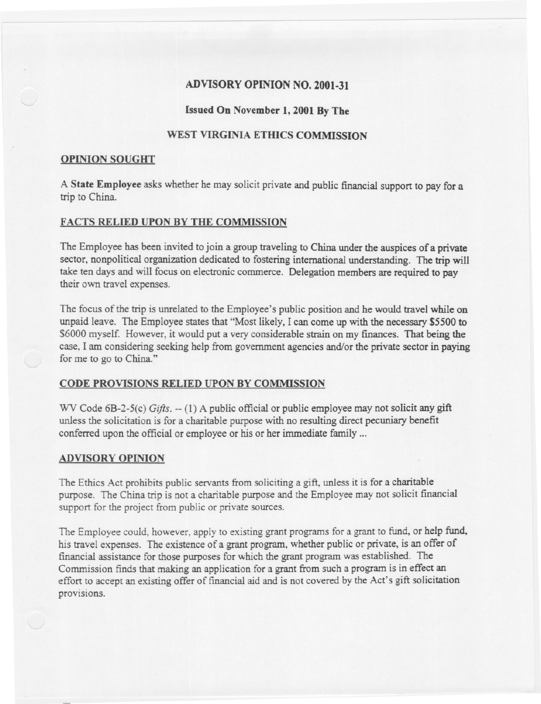# ADVISORYOPINION NO. 2001.31

## Issued On November 1, 2001 By The

# WEST VIRGINIA ETHICS COMMISSION

#### OPINION SOUGHT

A State Employee asks whether he may solicit private and public financial support to pay for a trip to China.

## FACTS RELIED UPON BY THE COMMISSION

The Employee has been invited to join a group traveling to China under the auspices of a private sector, nonpolitical organization dedicated to fostering international understanding. The trip will take ten days and will focus on electronic commerce. Delegation members are required to pay their own travel expenses.

The focus of the trip is unrelated to the Employee's public position and he would travel while on unpaid leave. The Employee states that "Most likely, I can come up with the necessary \$5500 to \$6000 myself. However, it would put a very considerable strain on my finances. That being the case, I am considering seeking help from government agencies and/or the private sector in paying for me to go to China."

### CODE PROVISIONS RELIED UPON BY COMMISSION

WV Code 6B-2-5(c) *Gifts.* -- (1) A public official or public employee may not solicit any gift unless the solicitation is for a charitable purpose with no resulting direct pecuniary benefit conferred upon the official or employee or his or her immediate family...

#### ADVISORY OPINION

The Ethics Act prohibits public servants from soliciting a gift, unless it is for a charitable purpose. The China trip is not a charitable purpose and the Employee may not solicit financial support for the project from public or private sources.

The Employee could, however, apply to existing grant programs for a grant to fund, or help fund, his travel expenses. The existence of a grant program, whether public or private, is an offer of fmancial assistance for those purposes for which the grant program was established. The Commission finds that making an application for a grant from such a program is in effect an effort to accept an existing offer of financial aid and is not covered by the Act's gift solicitation provisions.